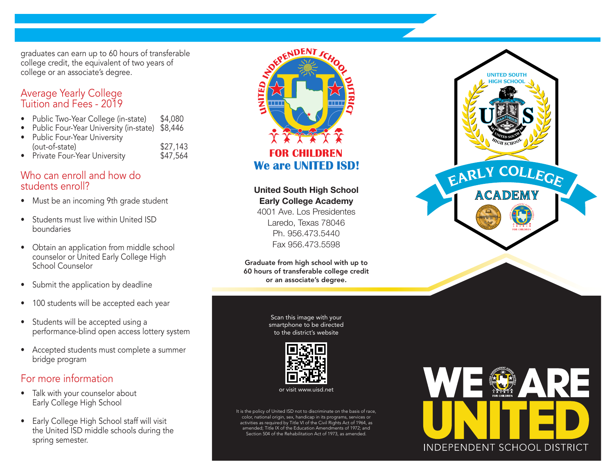graduates can earn up to 60 hours of transferable<br> **ACADEMIA COLEGIO EN LA PREPARATORIA DE COLEGIO EN LA PREPARATORIA DE COLEGIO EN LA PREPARATORIA DE COLEGIO EN LA PREPARATORIA UNITED SOLUTION OF THE COLEGIO EN LA PREPARA** college credit, the equivalent of two years of college or an associate's degree.

# Tuition and Fees - 2019

- Public Two-Year College (in-state) \$4,080
- 
- Public Four-Year University (in-state) \$8,446 **es el viernes 16 de abril de 2021** • Public Four-Year University (out-of-state) \$27,143
- Private Four-Year University **\$47,564**

# Who can enroll and how do<br>students enroll? students enroll?

- students enformed:<br>• Must be an incoming 9th grade student
- Students must live within United ISD boundaries **grado en el ciclo escolar 2021-2022**
- Obtain an application from middle school counselor or United Early College High School Counselor **Las solicitudes 15 de marzo de 2021**
- Submit the application by deadline **Las solicitudes se cierran el viernes 16 de abril de 2021**
	- 100 students will be accepted each year
- Students will be accepted using a performance-blind open access lottery system **El sorteo de lotería se llevará a cabo el jueves 29 de abril de 2021**
- Accepted students must complete a summer **PARA MASS INFORMACIÓN (956) 473-6400**<br>Para Más Indiae program bridge program

# For more information

- Talk with your counselor about Early College High School
- the United ISD middle schools during the spring semester.



United South High School

**Early College Academy** 4001 Ave. Los Presidentes **de orientación y acepten**  Laredo, Texas 78046 Ph. 956.473.5440 **los términos para poder**  Fax 956.473.5598 **concluir el proceso de** 

Graduate from high school with up to 60 hours of transferable college credit<br>or an associate's degree. or an associate's degree.

**para participar en el** 

**Scan this image with your** smartphone to be directed to the district's website



or visit www.uisd.net

It is the policy of United ISD not to discriminate on the basis of race, color, national origin, sex, handicap in its programs, services or activities as required by Title VI of the Civil Rights Act of 1964, as amended; Title IX of the Education Amendments of 1972; and Section 504 of the Rehabilitation Act of 1973, as amended.





**La solicitud se encuentra en**

www.uisd.net/applyUSHSECACE<mark>demy</mark>